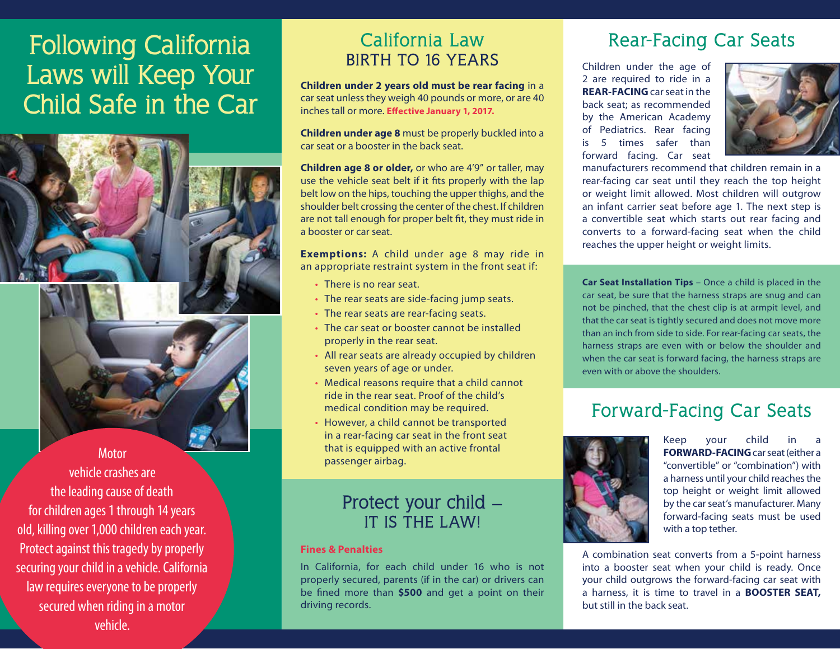# **Following California Laws will Keep Your Child Safe in the Car**



### **California Law BIRTH TO 16 YEARS**

**Children under 2 years old must be rear facing** in a car seat unless they weigh 40 pounds or more, or are 40 inches tall or more. **Effective January 1, 2017.** 

**Children under age 8** must be properly buckled into a car seat or a booster in the back seat.

**Children age 8 or older,** or who are 4'9" or taller, may use the vehicle seat belt if it fits properly with the lap belt low on the hips, touching the upper thighs, and the shoulder belt crossing the center of the chest. If children are not tall enough for proper belt fit, they must ride in a booster or car seat.

**Exemptions:** A child under age 8 may ride in an appropriate restraint system in the front seat if:

- There is no rear seat.
- The rear seats are side-facing jump seats.
- The rear seats are rear-facing seats.
- The car seat or booster cannot be installed properly in the rear seat.
- All rear seats are already occupied by children seven years of age or under.
- Medical reasons require that a child cannot ride in the rear seat. Proof of the child's medical condition may be required.
- However, a child cannot be transported in a rear-facing car seat in the front seat that is equipped with an active frontal passenger airbag.

### **Protect your child – IT IS THE LAW!**

#### **Fines & Penalties**

In California, for each child under 16 who is not properly secured, parents (if in the car) or drivers can be fined more than **\$500** and get a point on their driving records.

# **Rear-Facing Car Seats**

Children under the age of 2 are required to ride in a **REAR-FACING** car seat in the back seat; as recommended by the American Academy of Pediatrics. Rear facing is 5 times safer than forward facing. Car seat



manufacturers recommend that children remain in a rear-facing car seat until they reach the top height or weight limit allowed. Most children will outgrow an infant carrier seat before age 1. The next step is a convertible seat which starts out rear facing and converts to a forward-facing seat when the child reaches the upper height or weight limits.

**Car Seat Installation Tips** – Once a child is placed in the car seat, be sure that the harness straps are snug and can not be pinched, that the chest clip is at armpit level, and that the car seat is tightly secured and does not move more than an inch from side to side. For rear-facing car seats, the harness straps are even with or below the shoulder and when the car seat is forward facing, the harness straps are even with or above the shoulders.

# **Forward-Facing Car Seats**



Keep your child **FORWARD-FACING** car seat (either a "convertible" or "combination") with a harness until your child reaches the top height or weight limit allowed by the car seat's manufacturer. Many forward-facing seats must be used with a top tether.

A combination seat converts from a 5-point harness into a booster seat when your child is ready. Once your child outgrows the forward-facing car seat with a harness, it is time to travel in a **BOOSTER SEAT,** but still in the back seat.